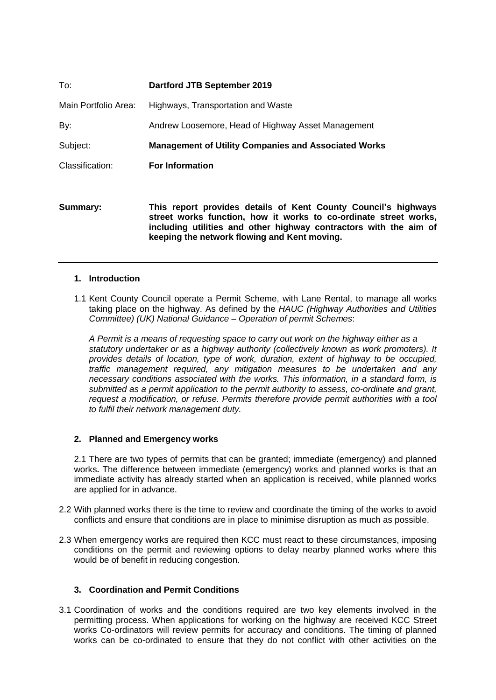| To:                  | <b>Dartford JTB September 2019</b>                                                                                                                                                                                                                      |  |
|----------------------|---------------------------------------------------------------------------------------------------------------------------------------------------------------------------------------------------------------------------------------------------------|--|
| Main Portfolio Area: | Highways, Transportation and Waste                                                                                                                                                                                                                      |  |
| By:                  | Andrew Loosemore, Head of Highway Asset Management                                                                                                                                                                                                      |  |
| Subject:             | <b>Management of Utility Companies and Associated Works</b>                                                                                                                                                                                             |  |
| Classification:      | <b>For Information</b>                                                                                                                                                                                                                                  |  |
| Summary:             | This report provides details of Kent County Council's highways<br>street works function, how it works to co-ordinate street works,<br>including utilities and other highway contractors with the aim of<br>keeping the network flowing and Kent moving. |  |

#### **1. Introduction**

1.1 Kent County Council operate a Permit Scheme, with Lane Rental, to manage all works taking place on the highway. As defined by the *HAUC (Highway Authorities and Utilities Committee) (UK) National Guidance – Operation of permit Schemes*:

*A Permit is a means of requesting space to carry out work on the highway either as a statutory undertaker or as a highway authority (collectively known as work promoters). It provides details of location, type of work, duration, extent of highway to be occupied, traffic management required, any mitigation measures to be undertaken and any necessary conditions associated with the works. This information, in a standard form, is submitted as a permit application to the permit authority to assess, co-ordinate and grant, request a modification, or refuse. Permits therefore provide permit authorities with a tool to fulfil their network management duty.*

### **2. Planned and Emergency works**

2.1 There are two types of permits that can be granted; immediate (emergency) and planned works**.** The difference between immediate (emergency) works and planned works is that an immediate activity has already started when an application is received, while planned works are applied for in advance.

- 2.2 With planned works there is the time to review and coordinate the timing of the works to avoid conflicts and ensure that conditions are in place to minimise disruption as much as possible.
- 2.3 When emergency works are required then KCC must react to these circumstances, imposing conditions on the permit and reviewing options to delay nearby planned works where this would be of benefit in reducing congestion.

### **3. Coordination and Permit Conditions**

3.1 Coordination of works and the conditions required are two key elements involved in the permitting process. When applications for working on the highway are received KCC Street works Co-ordinators will review permits for accuracy and conditions. The timing of planned works can be co-ordinated to ensure that they do not conflict with other activities on the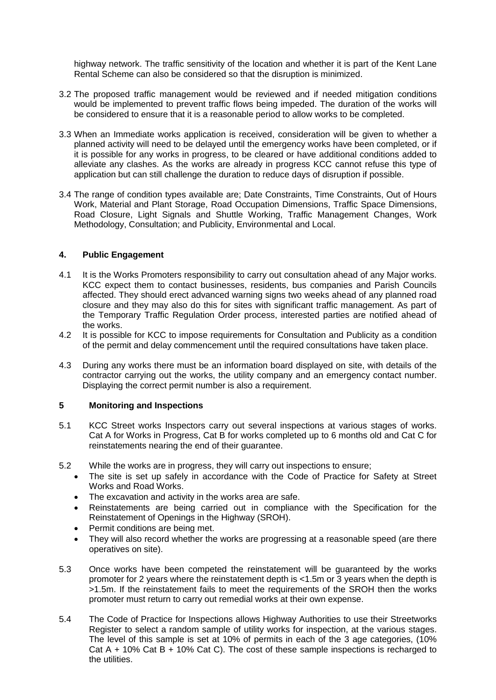highway network. The traffic sensitivity of the location and whether it is part of the Kent Lane Rental Scheme can also be considered so that the disruption is minimized.

- 3.2 The proposed traffic management would be reviewed and if needed mitigation conditions would be implemented to prevent traffic flows being impeded. The duration of the works will be considered to ensure that it is a reasonable period to allow works to be completed.
- 3.3 When an Immediate works application is received, consideration will be given to whether a planned activity will need to be delayed until the emergency works have been completed, or if it is possible for any works in progress, to be cleared or have additional conditions added to alleviate any clashes. As the works are already in progress KCC cannot refuse this type of application but can still challenge the duration to reduce days of disruption if possible.
- 3.4 The range of condition types available are; Date Constraints, Time Constraints, Out of Hours Work, Material and Plant Storage, Road Occupation Dimensions, Traffic Space Dimensions, Road Closure, Light Signals and Shuttle Working, Traffic Management Changes, Work Methodology, Consultation; and Publicity, Environmental and Local.

## **4. Public Engagement**

- 4.1 It is the Works Promoters responsibility to carry out consultation ahead of any Major works. KCC expect them to contact businesses, residents, bus companies and Parish Councils affected. They should erect advanced warning signs two weeks ahead of any planned road closure and they may also do this for sites with significant traffic management. As part of the Temporary Traffic Regulation Order process, interested parties are notified ahead of the works.
- 4.2 It is possible for KCC to impose requirements for Consultation and Publicity as a condition of the permit and delay commencement until the required consultations have taken place.
- 4.3 During any works there must be an information board displayed on site, with details of the contractor carrying out the works, the utility company and an emergency contact number. Displaying the correct permit number is also a requirement.

### **5 Monitoring and Inspections**

- 5.1 KCC Street works Inspectors carry out several inspections at various stages of works. Cat A for Works in Progress, Cat B for works completed up to 6 months old and Cat C for reinstatements nearing the end of their guarantee.
- 5.2 While the works are in progress, they will carry out inspections to ensure;
	- The site is set up safely in accordance with the Code of Practice for Safety at Street Works and Road Works.
	- The excavation and activity in the works area are safe.
	- Reinstatements are being carried out in compliance with the Specification for the Reinstatement of Openings in the Highway (SROH).
	- Permit conditions are being met.
	- They will also record whether the works are progressing at a reasonable speed (are there operatives on site).
- 5.3 Once works have been competed the reinstatement will be guaranteed by the works promoter for 2 years where the reinstatement depth is <1.5m or 3 years when the depth is >1.5m. If the reinstatement fails to meet the requirements of the SROH then the works promoter must return to carry out remedial works at their own expense.
- 5.4 The Code of Practice for Inspections allows Highway Authorities to use their Streetworks Register to select a random sample of utility works for inspection, at the various stages. The level of this sample is set at 10% of permits in each of the 3 age categories, (10% Cat A + 10% Cat B + 10% Cat C). The cost of these sample inspections is recharged to the utilities.